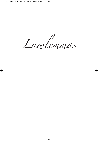Lawlemmas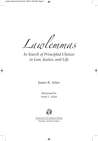Lawlemmas

*In Search of Principled Choices in Law, Justice, and Life*

James R. Acker

Illustrated by Anna L. Acker



Carolina Academic Press Durham, North Carolina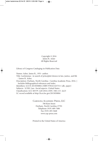Copyright © 2016 James R. Acker All Rights Reserved

Library of Congress Cataloging-in-Publication Data

Names: Acker, James R., 1951- author.

Title: Lawlemmas : in search of principled choices in law, justice, and life / James R. Acker.

Description: Durham, North Carolina : Carolina Academic Press, 2016. | Includes bibliographical references and index.

Identifiers: LCCN 2015050804 | ISBN 9781611637311 (alk. paper)

Subjects: LCSH: Law--Social aspects--United States.

Classification: LCC KF379 .A28 2016 | DDC 340/.115--dc23

LC record available at http://lccn.loc.gov/2015050804

Carolina Academic Press, LLC 700 Kent Street Durham, North Carolina 27701 Telephone (919) 489-7486 Fax (919) 493-5668 www.cap-press.com

Printed in the United States of America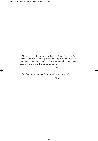To three generations of my dear family—Jenny, Elizabeth, Anna, Ethan, Andy, Zoe—and to generation upon generation of students, past, present, and future, and the elusive, never-ending, but essential quest for justice. Together we can get there.

## —JRA

For Dad, Mom, Liz, and Ethan; with love and gratitude.

—ALA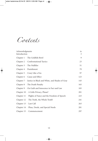Contents

| Acknowledgments                                            | ix             |
|------------------------------------------------------------|----------------|
| Introduction                                               | $\mathfrak{Z}$ |
| Chapter $1 \cdot$ The Goldfish Bowl                        | 9              |
| Chapter 2 · Confrontational Tactics                        | 23             |
| Chapter $3 \cdot$ The Nullifier                            | 51             |
| Chapter $4 \cdot$ Punishment                               | 79             |
| Chapter $5 \cdot$ Crazy Like a Fox                         | 97             |
| Chapter $6 \cdot$ Cause and Effect                         | 123            |
| Chapter 7 · Justice in Black and White, and Shades of Gray | 143            |
| Chapter $8 \cdot$ The Death Penalty                        | 165            |
| Chapter 9 · On Guilt and Innocence in Fact and Law         | 183            |
| Chapter 10 · A Little Privacy, Please?                     | 201            |
| Chapter $11$ · Flights of Fancy and the Freedom of Speech  | 223            |
| Chapter $12 \cdot$ The Truth, the Whole Truth?             | 241            |
| Chapter $13 \cdot$ Last Call                               | 263            |
| Chapter 14 · Pleas, Deeds, and Special Needs               | 281            |
| Chapter $15 \cdot$ Commencement                            | 297            |